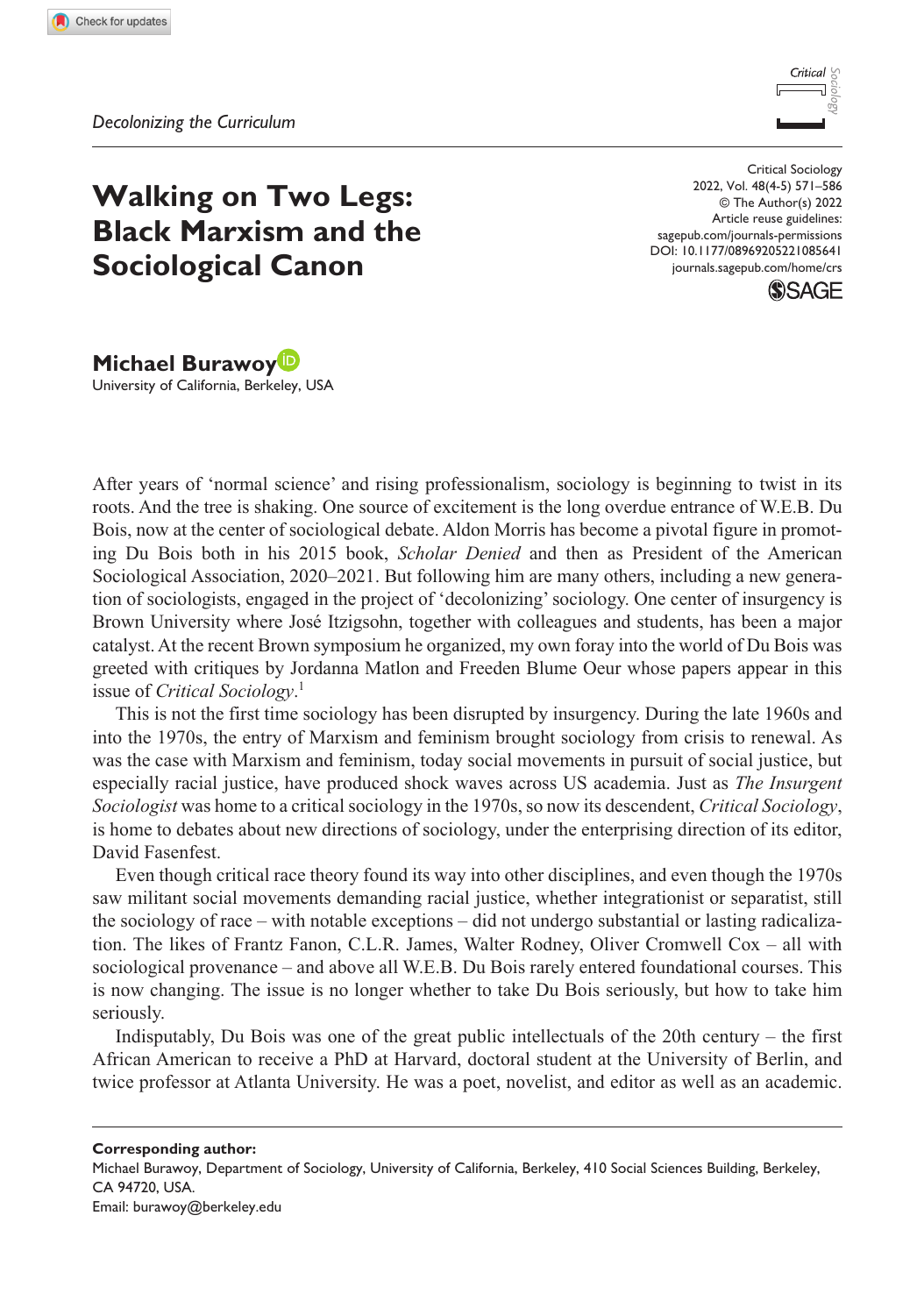

# **Walking on Two Legs: Black Marxism and the Sociological Canon**

DOI: 10.1177/08969205221085641 Critical Sociology 2022, Vol. 48(4-5) 571–586 © The Author(s) 2022 Article reuse guidelines: [sagepub.com/journals-permissions](https://uk.sagepub.com/en-gb/journals-permissions) [journals.sagepub.com/home/crs](https://journals.sagepub.com/home/crs)



**Michael Burawoy** University of California, Berkeley, USA

After years of 'normal science' and rising professionalism, sociology is beginning to twist in its roots. And the tree is shaking. One source of excitement is the long overdue entrance of W.E.B. Du Bois, now at the center of sociological debate. Aldon Morris has become a pivotal figure in promoting Du Bois both in his 2015 book, *Scholar Denied* and then as President of the American Sociological Association, 2020–2021. But following him are many others, including a new generation of sociologists, engaged in the project of 'decolonizing' sociology. One center of insurgency is Brown University where José Itzigsohn, together with colleagues and students, has been a major catalyst. At the recent Brown symposium he organized, my own foray into the world of Du Bois was greeted with critiques by Jordanna Matlon and Freeden Blume Oeur whose papers appear in this issue of *Critical Sociology*. 1

This is not the first time sociology has been disrupted by insurgency. During the late 1960s and into the 1970s, the entry of Marxism and feminism brought sociology from crisis to renewal. As was the case with Marxism and feminism, today social movements in pursuit of social justice, but especially racial justice, have produced shock waves across US academia. Just as *The Insurgent Sociologist* was home to a critical sociology in the 1970s, so now its descendent, *Critical Sociology*, is home to debates about new directions of sociology, under the enterprising direction of its editor, David Fasenfest.

Even though critical race theory found its way into other disciplines, and even though the 1970s saw militant social movements demanding racial justice, whether integrationist or separatist, still the sociology of race – with notable exceptions – did not undergo substantial or lasting radicalization. The likes of Frantz Fanon, C.L.R. James, Walter Rodney, Oliver Cromwell Cox – all with sociological provenance – and above all W.E.B. Du Bois rarely entered foundational courses. This is now changing. The issue is no longer whether to take Du Bois seriously, but how to take him seriously.

Indisputably, Du Bois was one of the great public intellectuals of the 20th century – the first African American to receive a PhD at Harvard, doctoral student at the University of Berlin, and twice professor at Atlanta University. He was a poet, novelist, and editor as well as an academic.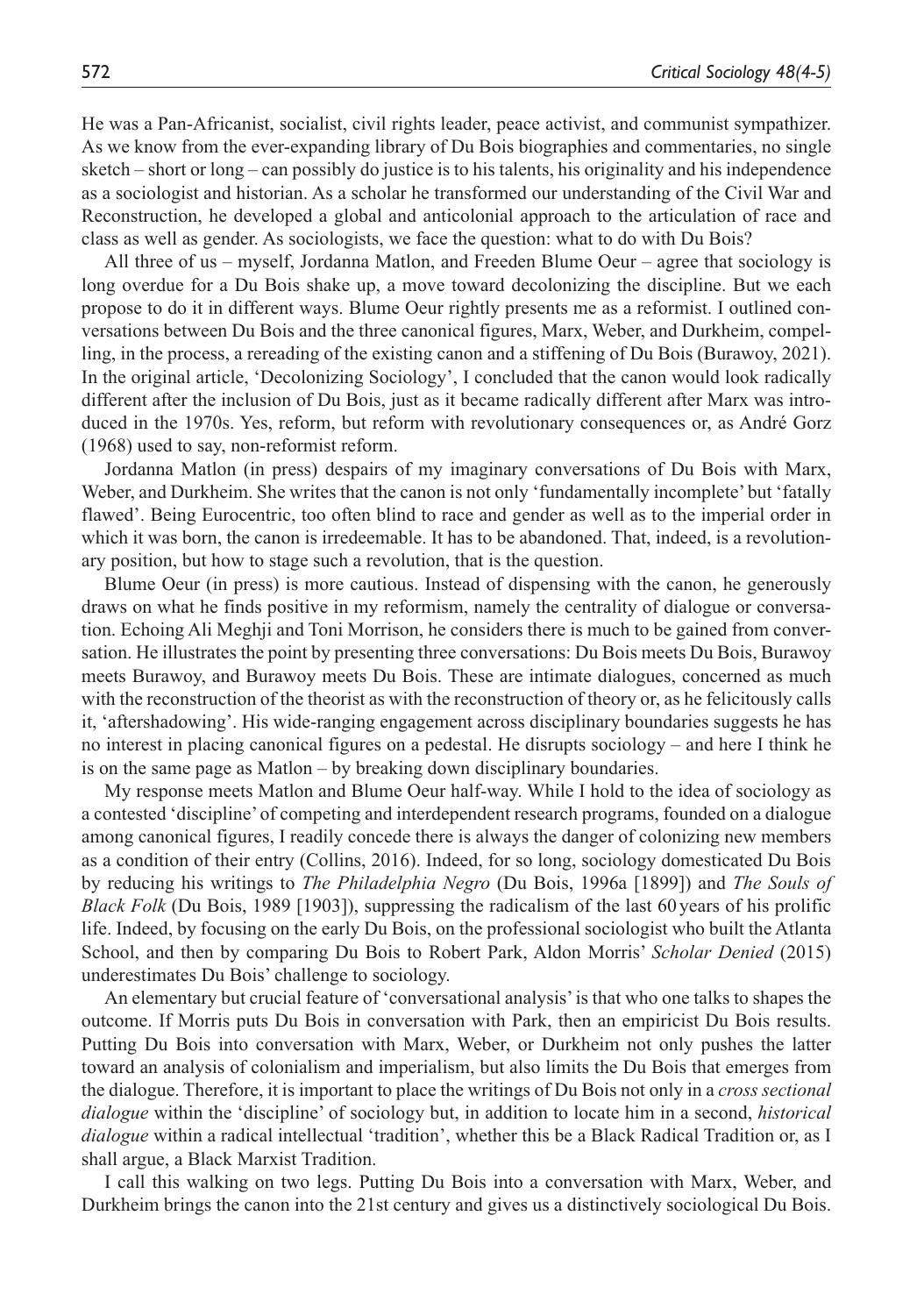He was a Pan-Africanist, socialist, civil rights leader, peace activist, and communist sympathizer. As we know from the ever-expanding library of Du Bois biographies and commentaries, no single sketch – short or long – can possibly do justice is to his talents, his originality and his independence as a sociologist and historian. As a scholar he transformed our understanding of the Civil War and Reconstruction, he developed a global and anticolonial approach to the articulation of race and class as well as gender. As sociologists, we face the question: what to do with Du Bois?

All three of us – myself, Jordanna Matlon, and Freeden Blume Oeur – agree that sociology is long overdue for a Du Bois shake up, a move toward decolonizing the discipline. But we each propose to do it in different ways. Blume Oeur rightly presents me as a reformist. I outlined conversations between Du Bois and the three canonical figures, Marx, Weber, and Durkheim, compelling, in the process, a rereading of the existing canon and a stiffening of Du Bois (Burawoy, 2021). In the original article, 'Decolonizing Sociology', I concluded that the canon would look radically different after the inclusion of Du Bois, just as it became radically different after Marx was introduced in the 1970s. Yes, reform, but reform with revolutionary consequences or, as André Gorz (1968) used to say, non-reformist reform.

Jordanna Matlon (in press) despairs of my imaginary conversations of Du Bois with Marx, Weber, and Durkheim. She writes that the canon is not only 'fundamentally incomplete' but 'fatally flawed'. Being Eurocentric, too often blind to race and gender as well as to the imperial order in which it was born, the canon is irredeemable. It has to be abandoned. That, indeed, is a revolutionary position, but how to stage such a revolution, that is the question.

Blume Oeur (in press) is more cautious. Instead of dispensing with the canon, he generously draws on what he finds positive in my reformism, namely the centrality of dialogue or conversation. Echoing Ali Meghji and Toni Morrison, he considers there is much to be gained from conversation. He illustrates the point by presenting three conversations: Du Bois meets Du Bois, Burawoy meets Burawoy, and Burawoy meets Du Bois. These are intimate dialogues, concerned as much with the reconstruction of the theorist as with the reconstruction of theory or, as he felicitously calls it, 'aftershadowing'. His wide-ranging engagement across disciplinary boundaries suggests he has no interest in placing canonical figures on a pedestal. He disrupts sociology – and here I think he is on the same page as Matlon – by breaking down disciplinary boundaries.

My response meets Matlon and Blume Oeur half-way. While I hold to the idea of sociology as a contested 'discipline' of competing and interdependent research programs, founded on a dialogue among canonical figures, I readily concede there is always the danger of colonizing new members as a condition of their entry (Collins, 2016). Indeed, for so long, sociology domesticated Du Bois by reducing his writings to *The Philadelphia Negro* (Du Bois, 1996a [1899]) and *The Souls of Black Folk* (Du Bois, 1989 [1903]), suppressing the radicalism of the last 60 years of his prolific life. Indeed, by focusing on the early Du Bois, on the professional sociologist who built the Atlanta School, and then by comparing Du Bois to Robert Park, Aldon Morris' *Scholar Denied* (2015) underestimates Du Bois' challenge to sociology.

An elementary but crucial feature of 'conversational analysis' is that who one talks to shapes the outcome. If Morris puts Du Bois in conversation with Park, then an empiricist Du Bois results. Putting Du Bois into conversation with Marx, Weber, or Durkheim not only pushes the latter toward an analysis of colonialism and imperialism, but also limits the Du Bois that emerges from the dialogue. Therefore, it is important to place the writings of Du Bois not only in a *cross sectional dialogue* within the 'discipline' of sociology but, in addition to locate him in a second, *historical dialogue* within a radical intellectual 'tradition', whether this be a Black Radical Tradition or, as I shall argue, a Black Marxist Tradition.

I call this walking on two legs. Putting Du Bois into a conversation with Marx, Weber, and Durkheim brings the canon into the 21st century and gives us a distinctively sociological Du Bois.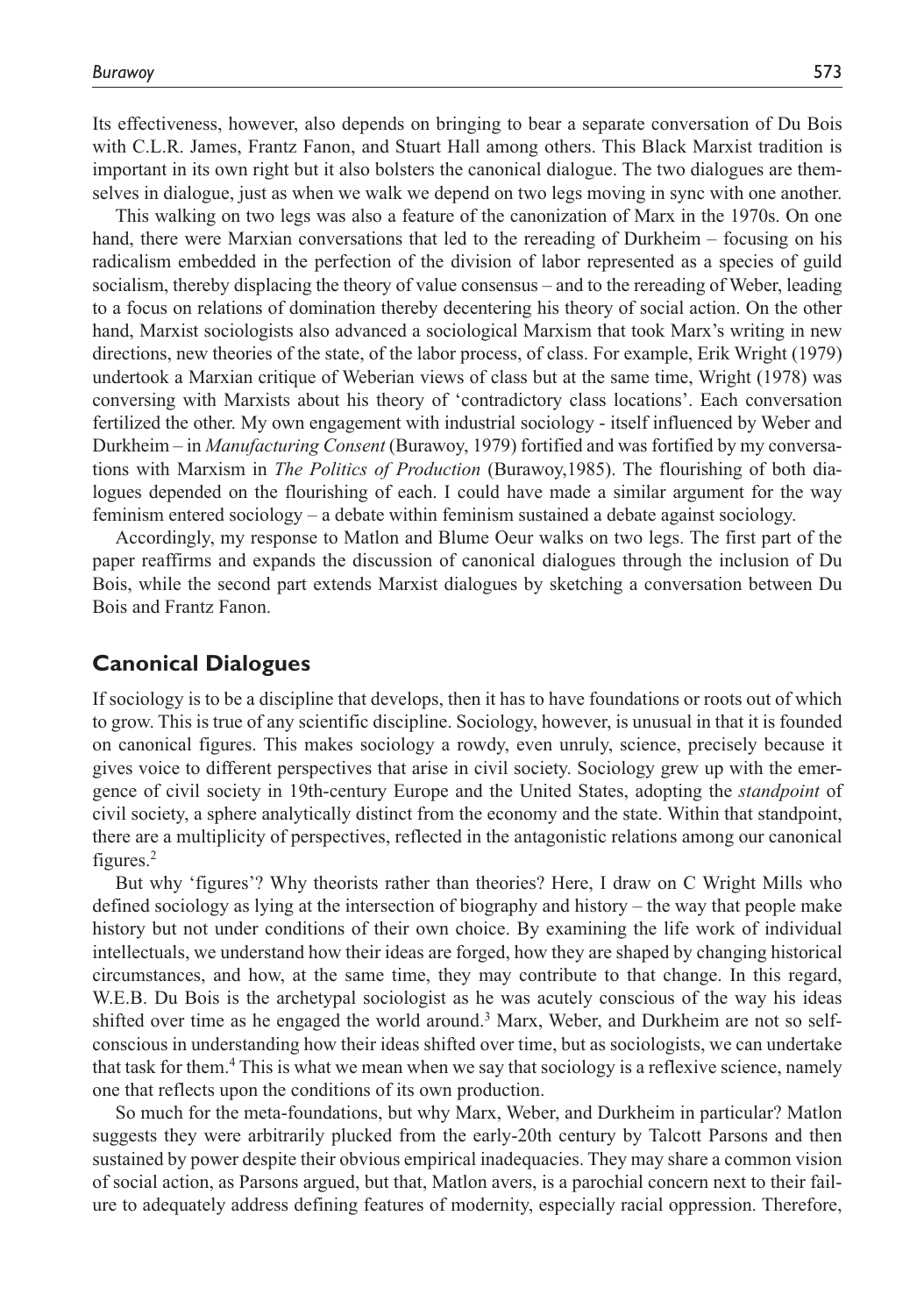Its effectiveness, however, also depends on bringing to bear a separate conversation of Du Bois with C.L.R. James, Frantz Fanon, and Stuart Hall among others. This Black Marxist tradition is important in its own right but it also bolsters the canonical dialogue. The two dialogues are themselves in dialogue, just as when we walk we depend on two legs moving in sync with one another.

This walking on two legs was also a feature of the canonization of Marx in the 1970s. On one hand, there were Marxian conversations that led to the rereading of Durkheim – focusing on his radicalism embedded in the perfection of the division of labor represented as a species of guild socialism, thereby displacing the theory of value consensus – and to the rereading of Weber, leading to a focus on relations of domination thereby decentering his theory of social action. On the other hand, Marxist sociologists also advanced a sociological Marxism that took Marx's writing in new directions, new theories of the state, of the labor process, of class. For example, Erik Wright (1979) undertook a Marxian critique of Weberian views of class but at the same time, Wright (1978) was conversing with Marxists about his theory of 'contradictory class locations'. Each conversation fertilized the other. My own engagement with industrial sociology - itself influenced by Weber and Durkheim – in *Manufacturing Consent* (Burawoy, 1979) fortified and was fortified by my conversations with Marxism in *The Politics of Production* (Burawoy,1985). The flourishing of both dialogues depended on the flourishing of each. I could have made a similar argument for the way feminism entered sociology – a debate within feminism sustained a debate against sociology.

Accordingly, my response to Matlon and Blume Oeur walks on two legs. The first part of the paper reaffirms and expands the discussion of canonical dialogues through the inclusion of Du Bois, while the second part extends Marxist dialogues by sketching a conversation between Du Bois and Frantz Fanon.

## **Canonical Dialogues**

If sociology is to be a discipline that develops, then it has to have foundations or roots out of which to grow. This is true of any scientific discipline. Sociology, however, is unusual in that it is founded on canonical figures. This makes sociology a rowdy, even unruly, science, precisely because it gives voice to different perspectives that arise in civil society. Sociology grew up with the emergence of civil society in 19th-century Europe and the United States, adopting the *standpoint* of civil society, a sphere analytically distinct from the economy and the state. Within that standpoint, there are a multiplicity of perspectives, reflected in the antagonistic relations among our canonical figures.2

But why 'figures'? Why theorists rather than theories? Here, I draw on C Wright Mills who defined sociology as lying at the intersection of biography and history – the way that people make history but not under conditions of their own choice. By examining the life work of individual intellectuals, we understand how their ideas are forged, how they are shaped by changing historical circumstances, and how, at the same time, they may contribute to that change. In this regard, W.E.B. Du Bois is the archetypal sociologist as he was acutely conscious of the way his ideas shifted over time as he engaged the world around.<sup>3</sup> Marx, Weber, and Durkheim are not so selfconscious in understanding how their ideas shifted over time, but as sociologists, we can undertake that task for them.4 This is what we mean when we say that sociology is a reflexive science, namely one that reflects upon the conditions of its own production.

So much for the meta-foundations, but why Marx, Weber, and Durkheim in particular? Matlon suggests they were arbitrarily plucked from the early-20th century by Talcott Parsons and then sustained by power despite their obvious empirical inadequacies. They may share a common vision of social action, as Parsons argued, but that, Matlon avers, is a parochial concern next to their failure to adequately address defining features of modernity, especially racial oppression. Therefore,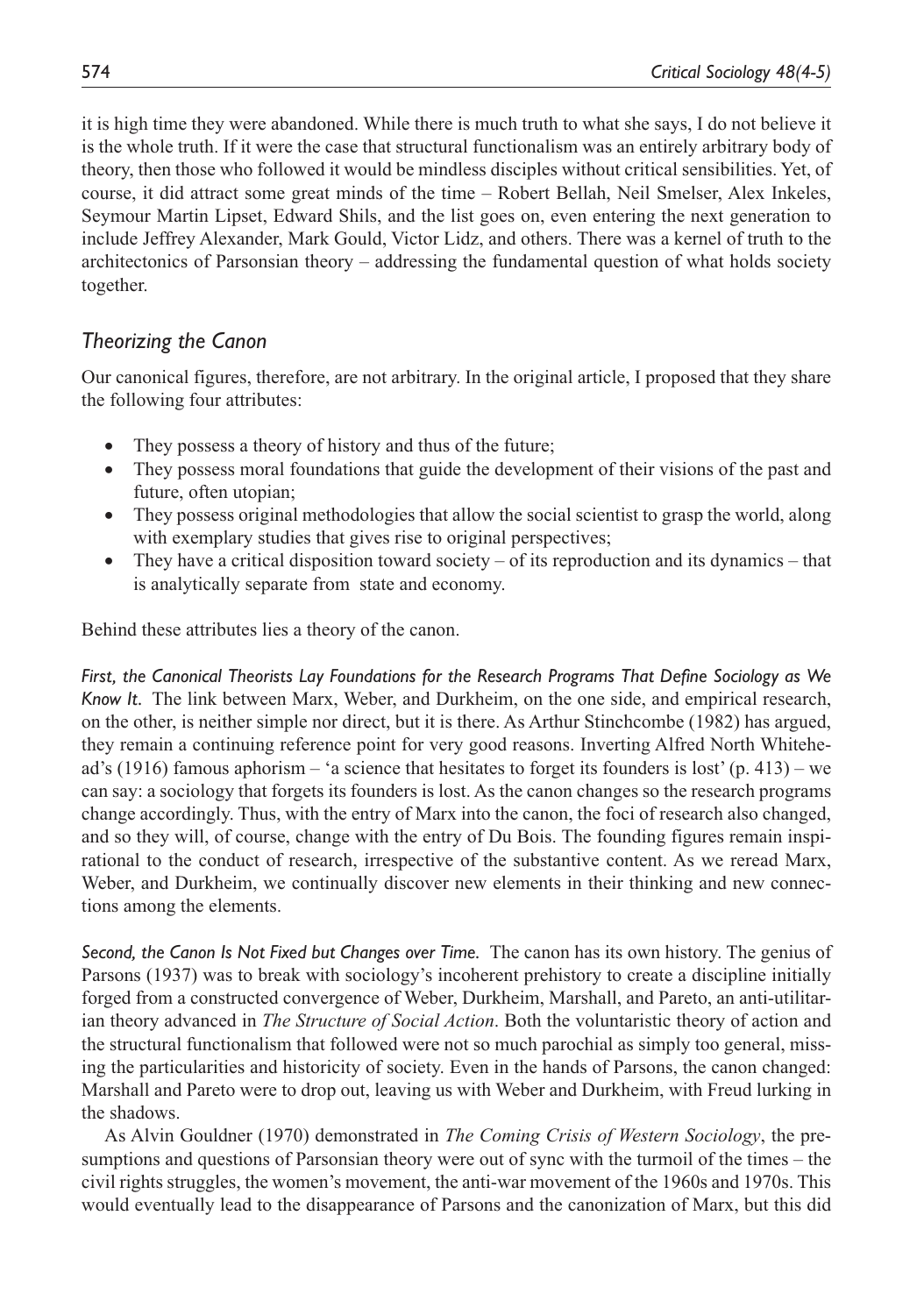it is high time they were abandoned. While there is much truth to what she says, I do not believe it is the whole truth. If it were the case that structural functionalism was an entirely arbitrary body of theory, then those who followed it would be mindless disciples without critical sensibilities. Yet, of course, it did attract some great minds of the time – Robert Bellah, Neil Smelser, Alex Inkeles, Seymour Martin Lipset, Edward Shils, and the list goes on, even entering the next generation to include Jeffrey Alexander, Mark Gould, Victor Lidz, and others. There was a kernel of truth to the architectonics of Parsonsian theory – addressing the fundamental question of what holds society together.

# *Theorizing the Canon*

Our canonical figures, therefore, are not arbitrary. In the original article, I proposed that they share the following four attributes:

- They possess a theory of history and thus of the future;
- They possess moral foundations that guide the development of their visions of the past and future, often utopian;
- They possess original methodologies that allow the social scientist to grasp the world, along with exemplary studies that gives rise to original perspectives;
- They have a critical disposition toward society of its reproduction and its dynamics that is analytically separate from state and economy.

Behind these attributes lies a theory of the canon.

*First, the Canonical Theorists Lay Foundations for the Research Programs That Define Sociology as We Know It.* The link between Marx, Weber, and Durkheim, on the one side, and empirical research, on the other, is neither simple nor direct, but it is there. As Arthur Stinchcombe (1982) has argued, they remain a continuing reference point for very good reasons. Inverting Alfred North Whitehead's (1916) famous aphorism – 'a science that hesitates to forget its founders is lost' (p. 413) – we can say: a sociology that forgets its founders is lost. As the canon changes so the research programs change accordingly. Thus, with the entry of Marx into the canon, the foci of research also changed, and so they will, of course, change with the entry of Du Bois. The founding figures remain inspirational to the conduct of research, irrespective of the substantive content. As we reread Marx, Weber, and Durkheim, we continually discover new elements in their thinking and new connections among the elements.

*Second, the Canon Is Not Fixed but Changes over Time.* The canon has its own history. The genius of Parsons (1937) was to break with sociology's incoherent prehistory to create a discipline initially forged from a constructed convergence of Weber, Durkheim, Marshall, and Pareto, an anti-utilitarian theory advanced in *The Structure of Social Action*. Both the voluntaristic theory of action and the structural functionalism that followed were not so much parochial as simply too general, missing the particularities and historicity of society. Even in the hands of Parsons, the canon changed: Marshall and Pareto were to drop out, leaving us with Weber and Durkheim, with Freud lurking in the shadows.

As Alvin Gouldner (1970) demonstrated in *The Coming Crisis of Western Sociology*, the presumptions and questions of Parsonsian theory were out of sync with the turmoil of the times – the civil rights struggles, the women's movement, the anti-war movement of the 1960s and 1970s. This would eventually lead to the disappearance of Parsons and the canonization of Marx, but this did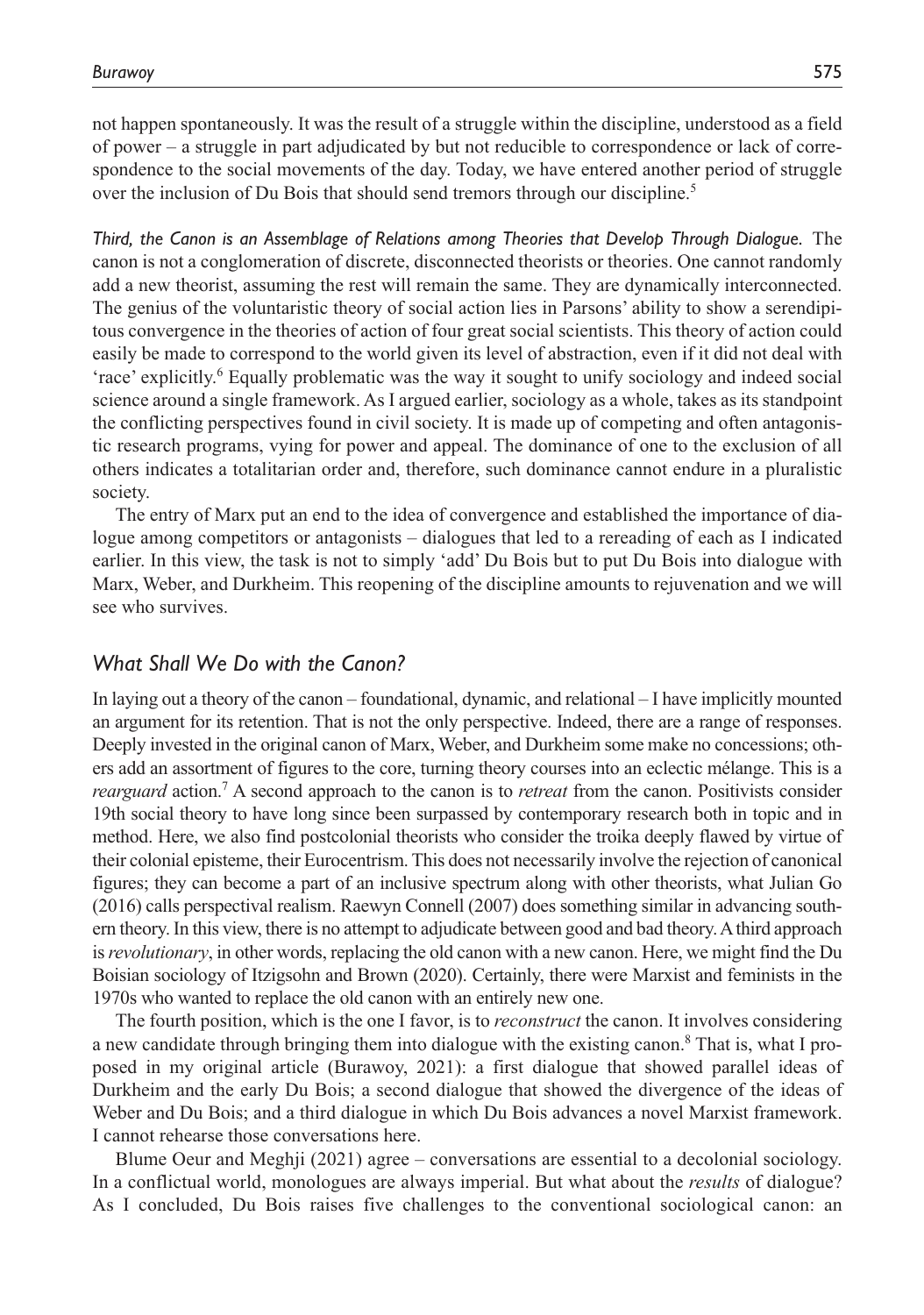not happen spontaneously. It was the result of a struggle within the discipline, understood as a field of power – a struggle in part adjudicated by but not reducible to correspondence or lack of correspondence to the social movements of the day. Today, we have entered another period of struggle over the inclusion of Du Bois that should send tremors through our discipline.<sup>5</sup>

*Third, the Canon is an Assemblage of Relations among Theories that Develop Through Dialogue.* The canon is not a conglomeration of discrete, disconnected theorists or theories. One cannot randomly add a new theorist, assuming the rest will remain the same. They are dynamically interconnected. The genius of the voluntaristic theory of social action lies in Parsons' ability to show a serendipitous convergence in the theories of action of four great social scientists. This theory of action could easily be made to correspond to the world given its level of abstraction, even if it did not deal with 'race' explicitly.<sup>6</sup> Equally problematic was the way it sought to unify sociology and indeed social science around a single framework. As I argued earlier, sociology as a whole, takes as its standpoint the conflicting perspectives found in civil society. It is made up of competing and often antagonistic research programs, vying for power and appeal. The dominance of one to the exclusion of all others indicates a totalitarian order and, therefore, such dominance cannot endure in a pluralistic society.

The entry of Marx put an end to the idea of convergence and established the importance of dialogue among competitors or antagonists – dialogues that led to a rereading of each as I indicated earlier. In this view, the task is not to simply 'add' Du Bois but to put Du Bois into dialogue with Marx, Weber, and Durkheim. This reopening of the discipline amounts to rejuvenation and we will see who survives.

# *What Shall We Do with the Canon?*

In laying out a theory of the canon – foundational, dynamic, and relational – I have implicitly mounted an argument for its retention. That is not the only perspective. Indeed, there are a range of responses. Deeply invested in the original canon of Marx, Weber, and Durkheim some make no concessions; others add an assortment of figures to the core, turning theory courses into an eclectic mélange. This is a *rearguard* action.7 A second approach to the canon is to *retreat* from the canon. Positivists consider 19th social theory to have long since been surpassed by contemporary research both in topic and in method. Here, we also find postcolonial theorists who consider the troika deeply flawed by virtue of their colonial episteme, their Eurocentrism. This does not necessarily involve the rejection of canonical figures; they can become a part of an inclusive spectrum along with other theorists, what Julian Go (2016) calls perspectival realism. Raewyn Connell (2007) does something similar in advancing southern theory. In this view, there is no attempt to adjudicate between good and bad theory. A third approach is *revolutionary*, in other words, replacing the old canon with a new canon. Here, we might find the Du Boisian sociology of Itzigsohn and Brown (2020). Certainly, there were Marxist and feminists in the 1970s who wanted to replace the old canon with an entirely new one.

The fourth position, which is the one I favor, is to *reconstruct* the canon. It involves considering a new candidate through bringing them into dialogue with the existing canon.<sup>8</sup> That is, what I proposed in my original article (Burawoy, 2021): a first dialogue that showed parallel ideas of Durkheim and the early Du Bois; a second dialogue that showed the divergence of the ideas of Weber and Du Bois; and a third dialogue in which Du Bois advances a novel Marxist framework. I cannot rehearse those conversations here.

Blume Oeur and Meghji (2021) agree – conversations are essential to a decolonial sociology. In a conflictual world, monologues are always imperial. But what about the *results* of dialogue? As I concluded, Du Bois raises five challenges to the conventional sociological canon: an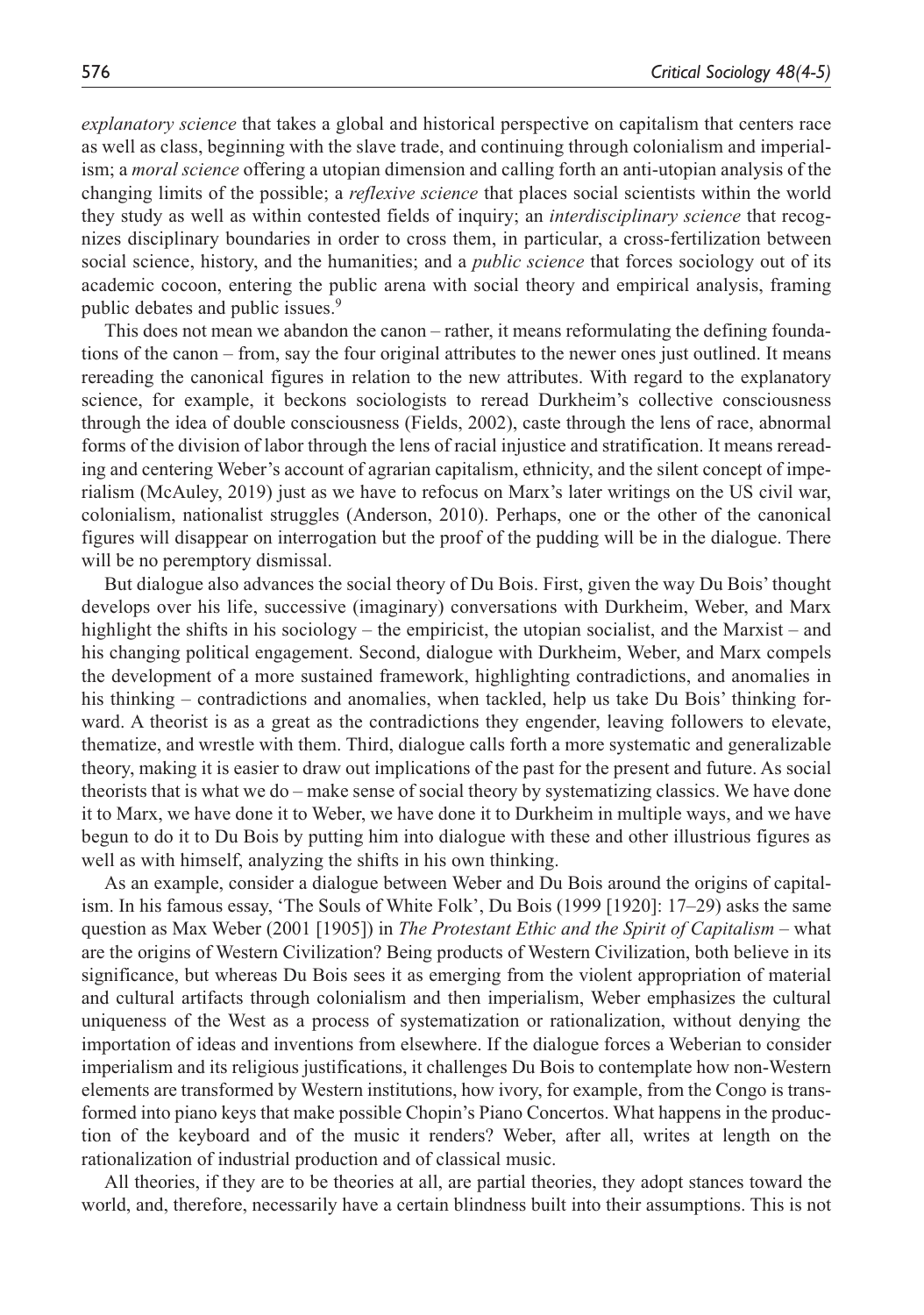*explanatory science* that takes a global and historical perspective on capitalism that centers race as well as class, beginning with the slave trade, and continuing through colonialism and imperialism; a *moral science* offering a utopian dimension and calling forth an anti-utopian analysis of the changing limits of the possible; a *reflexive science* that places social scientists within the world they study as well as within contested fields of inquiry; an *interdisciplinary science* that recognizes disciplinary boundaries in order to cross them, in particular, a cross-fertilization between social science, history, and the humanities; and a *public science* that forces sociology out of its academic cocoon, entering the public arena with social theory and empirical analysis, framing public debates and public issues.<sup>9</sup>

This does not mean we abandon the canon – rather, it means reformulating the defining foundations of the canon – from, say the four original attributes to the newer ones just outlined. It means rereading the canonical figures in relation to the new attributes. With regard to the explanatory science, for example, it beckons sociologists to reread Durkheim's collective consciousness through the idea of double consciousness (Fields, 2002), caste through the lens of race, abnormal forms of the division of labor through the lens of racial injustice and stratification. It means rereading and centering Weber's account of agrarian capitalism, ethnicity, and the silent concept of imperialism (McAuley, 2019) just as we have to refocus on Marx's later writings on the US civil war, colonialism, nationalist struggles (Anderson, 2010). Perhaps, one or the other of the canonical figures will disappear on interrogation but the proof of the pudding will be in the dialogue. There will be no peremptory dismissal.

But dialogue also advances the social theory of Du Bois. First, given the way Du Bois' thought develops over his life, successive (imaginary) conversations with Durkheim, Weber, and Marx highlight the shifts in his sociology – the empiricist, the utopian socialist, and the Marxist – and his changing political engagement. Second, dialogue with Durkheim, Weber, and Marx compels the development of a more sustained framework, highlighting contradictions, and anomalies in his thinking – contradictions and anomalies, when tackled, help us take Du Bois' thinking forward. A theorist is as a great as the contradictions they engender, leaving followers to elevate, thematize, and wrestle with them. Third, dialogue calls forth a more systematic and generalizable theory, making it is easier to draw out implications of the past for the present and future. As social theorists that is what we do – make sense of social theory by systematizing classics. We have done it to Marx, we have done it to Weber, we have done it to Durkheim in multiple ways, and we have begun to do it to Du Bois by putting him into dialogue with these and other illustrious figures as well as with himself, analyzing the shifts in his own thinking.

As an example, consider a dialogue between Weber and Du Bois around the origins of capitalism. In his famous essay, 'The Souls of White Folk', Du Bois (1999 [1920]: 17–29) asks the same question as Max Weber (2001 [1905]) in *The Protestant Ethic and the Spirit of Capitalism* – what are the origins of Western Civilization? Being products of Western Civilization, both believe in its significance, but whereas Du Bois sees it as emerging from the violent appropriation of material and cultural artifacts through colonialism and then imperialism, Weber emphasizes the cultural uniqueness of the West as a process of systematization or rationalization, without denying the importation of ideas and inventions from elsewhere. If the dialogue forces a Weberian to consider imperialism and its religious justifications, it challenges Du Bois to contemplate how non-Western elements are transformed by Western institutions, how ivory, for example, from the Congo is transformed into piano keys that make possible Chopin's Piano Concertos. What happens in the production of the keyboard and of the music it renders? Weber, after all, writes at length on the rationalization of industrial production and of classical music.

All theories, if they are to be theories at all, are partial theories, they adopt stances toward the world, and, therefore, necessarily have a certain blindness built into their assumptions. This is not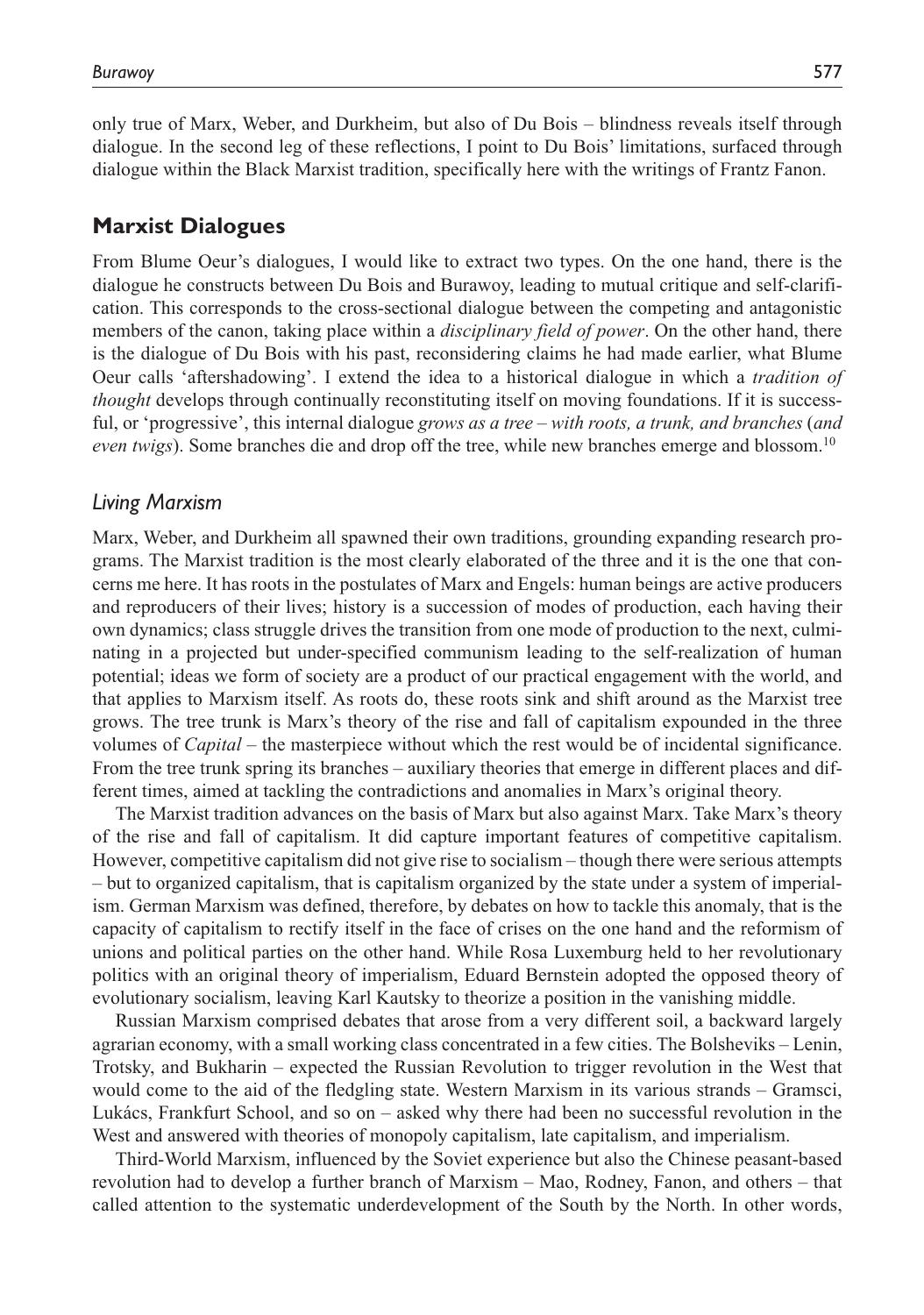only true of Marx, Weber, and Durkheim, but also of Du Bois – blindness reveals itself through dialogue. In the second leg of these reflections, I point to Du Bois' limitations, surfaced through dialogue within the Black Marxist tradition, specifically here with the writings of Frantz Fanon.

# **Marxist Dialogues**

From Blume Oeur's dialogues, I would like to extract two types. On the one hand, there is the dialogue he constructs between Du Bois and Burawoy, leading to mutual critique and self-clarification. This corresponds to the cross-sectional dialogue between the competing and antagonistic members of the canon, taking place within a *disciplinary field of power*. On the other hand, there is the dialogue of Du Bois with his past, reconsidering claims he had made earlier, what Blume Oeur calls 'aftershadowing'. I extend the idea to a historical dialogue in which a *tradition of thought* develops through continually reconstituting itself on moving foundations. If it is successful, or 'progressive', this internal dialogue *grows as a tree – with roots, a trunk, and branches* (*and even twigs*). Some branches die and drop off the tree, while new branches emerge and blossom.10

#### *Living Marxism*

Marx, Weber, and Durkheim all spawned their own traditions, grounding expanding research programs. The Marxist tradition is the most clearly elaborated of the three and it is the one that concerns me here. It has roots in the postulates of Marx and Engels: human beings are active producers and reproducers of their lives; history is a succession of modes of production, each having their own dynamics; class struggle drives the transition from one mode of production to the next, culminating in a projected but under-specified communism leading to the self-realization of human potential; ideas we form of society are a product of our practical engagement with the world, and that applies to Marxism itself. As roots do, these roots sink and shift around as the Marxist tree grows. The tree trunk is Marx's theory of the rise and fall of capitalism expounded in the three volumes of *Capital* – the masterpiece without which the rest would be of incidental significance. From the tree trunk spring its branches – auxiliary theories that emerge in different places and different times, aimed at tackling the contradictions and anomalies in Marx's original theory.

The Marxist tradition advances on the basis of Marx but also against Marx. Take Marx's theory of the rise and fall of capitalism. It did capture important features of competitive capitalism. However, competitive capitalism did not give rise to socialism – though there were serious attempts – but to organized capitalism, that is capitalism organized by the state under a system of imperialism. German Marxism was defined, therefore, by debates on how to tackle this anomaly, that is the capacity of capitalism to rectify itself in the face of crises on the one hand and the reformism of unions and political parties on the other hand. While Rosa Luxemburg held to her revolutionary politics with an original theory of imperialism, Eduard Bernstein adopted the opposed theory of evolutionary socialism, leaving Karl Kautsky to theorize a position in the vanishing middle.

Russian Marxism comprised debates that arose from a very different soil, a backward largely agrarian economy, with a small working class concentrated in a few cities. The Bolsheviks – Lenin, Trotsky, and Bukharin – expected the Russian Revolution to trigger revolution in the West that would come to the aid of the fledgling state. Western Marxism in its various strands – Gramsci, Lukács, Frankfurt School, and so on – asked why there had been no successful revolution in the West and answered with theories of monopoly capitalism, late capitalism, and imperialism.

Third-World Marxism, influenced by the Soviet experience but also the Chinese peasant-based revolution had to develop a further branch of Marxism – Mao, Rodney, Fanon, and others – that called attention to the systematic underdevelopment of the South by the North. In other words,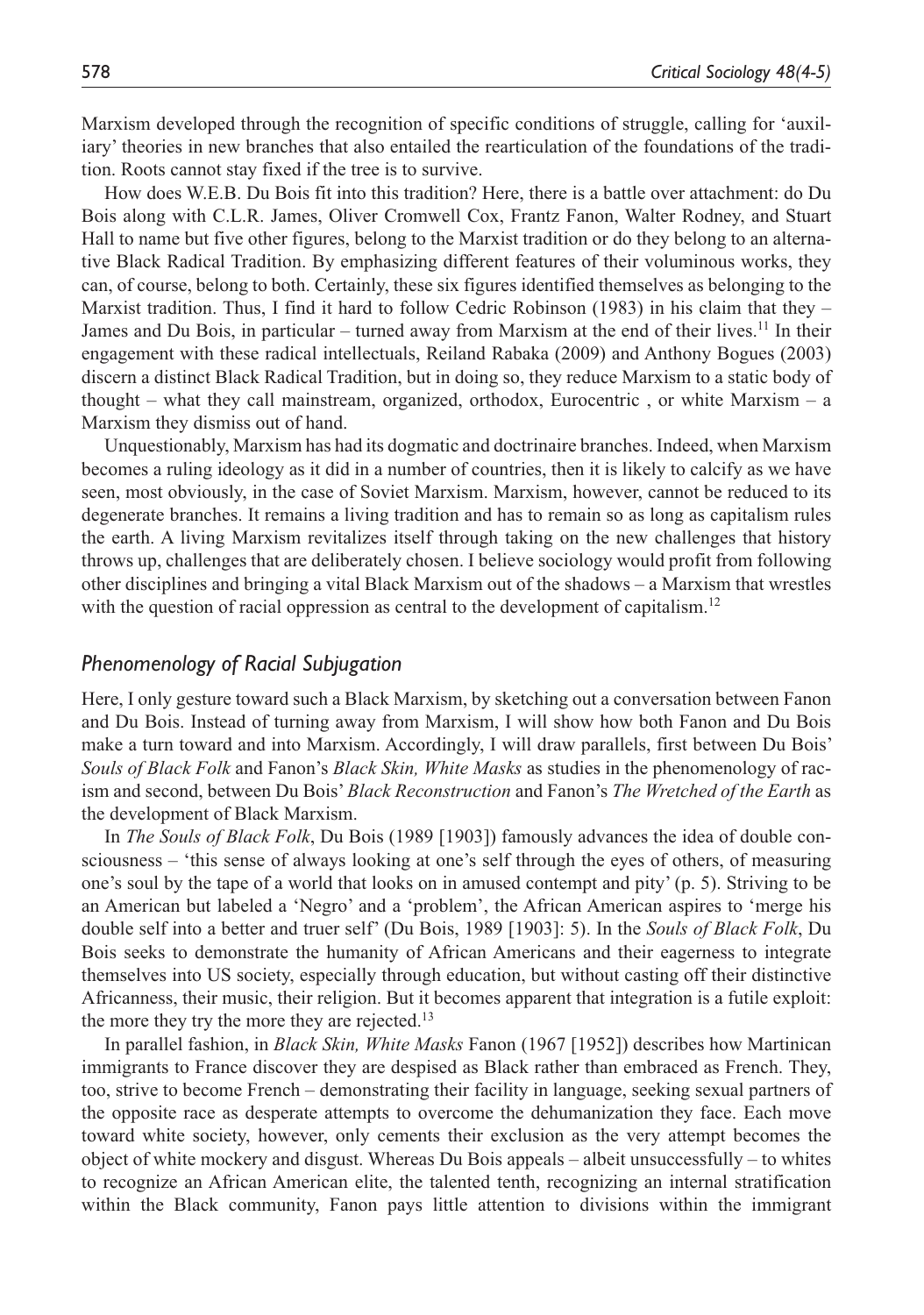Marxism developed through the recognition of specific conditions of struggle, calling for 'auxiliary' theories in new branches that also entailed the rearticulation of the foundations of the tradition. Roots cannot stay fixed if the tree is to survive.

How does W.E.B. Du Bois fit into this tradition? Here, there is a battle over attachment: do Du Bois along with C.L.R. James, Oliver Cromwell Cox, Frantz Fanon, Walter Rodney, and Stuart Hall to name but five other figures, belong to the Marxist tradition or do they belong to an alternative Black Radical Tradition. By emphasizing different features of their voluminous works, they can, of course, belong to both. Certainly, these six figures identified themselves as belonging to the Marxist tradition. Thus, I find it hard to follow Cedric Robinson (1983) in his claim that they – James and Du Bois, in particular – turned away from Marxism at the end of their lives.<sup>11</sup> In their engagement with these radical intellectuals, Reiland Rabaka (2009) and Anthony Bogues (2003) discern a distinct Black Radical Tradition, but in doing so, they reduce Marxism to a static body of thought – what they call mainstream, organized, orthodox, Eurocentric , or white Marxism – a Marxism they dismiss out of hand.

Unquestionably, Marxism has had its dogmatic and doctrinaire branches. Indeed, when Marxism becomes a ruling ideology as it did in a number of countries, then it is likely to calcify as we have seen, most obviously, in the case of Soviet Marxism. Marxism, however, cannot be reduced to its degenerate branches. It remains a living tradition and has to remain so as long as capitalism rules the earth. A living Marxism revitalizes itself through taking on the new challenges that history throws up, challenges that are deliberately chosen. I believe sociology would profit from following other disciplines and bringing a vital Black Marxism out of the shadows – a Marxism that wrestles with the question of racial oppression as central to the development of capitalism.<sup>12</sup>

## *Phenomenology of Racial Subjugation*

Here, I only gesture toward such a Black Marxism, by sketching out a conversation between Fanon and Du Bois. Instead of turning away from Marxism, I will show how both Fanon and Du Bois make a turn toward and into Marxism. Accordingly, I will draw parallels, first between Du Bois' *Souls of Black Folk* and Fanon's *Black Skin, White Masks* as studies in the phenomenology of racism and second, between Du Bois' *Black Reconstruction* and Fanon's *The Wretched of the Earth* as the development of Black Marxism.

In *The Souls of Black Folk*, Du Bois (1989 [1903]) famously advances the idea of double consciousness – 'this sense of always looking at one's self through the eyes of others, of measuring one's soul by the tape of a world that looks on in amused contempt and pity' (p. 5). Striving to be an American but labeled a 'Negro' and a 'problem', the African American aspires to 'merge his double self into a better and truer self' (Du Bois, 1989 [1903]: 5). In the *Souls of Black Folk*, Du Bois seeks to demonstrate the humanity of African Americans and their eagerness to integrate themselves into US society, especially through education, but without casting off their distinctive Africanness, their music, their religion. But it becomes apparent that integration is a futile exploit: the more they try the more they are rejected.<sup>13</sup>

In parallel fashion, in *Black Skin, White Masks* Fanon (1967 [1952]) describes how Martinican immigrants to France discover they are despised as Black rather than embraced as French. They, too, strive to become French – demonstrating their facility in language, seeking sexual partners of the opposite race as desperate attempts to overcome the dehumanization they face. Each move toward white society, however, only cements their exclusion as the very attempt becomes the object of white mockery and disgust. Whereas Du Bois appeals – albeit unsuccessfully – to whites to recognize an African American elite, the talented tenth, recognizing an internal stratification within the Black community, Fanon pays little attention to divisions within the immigrant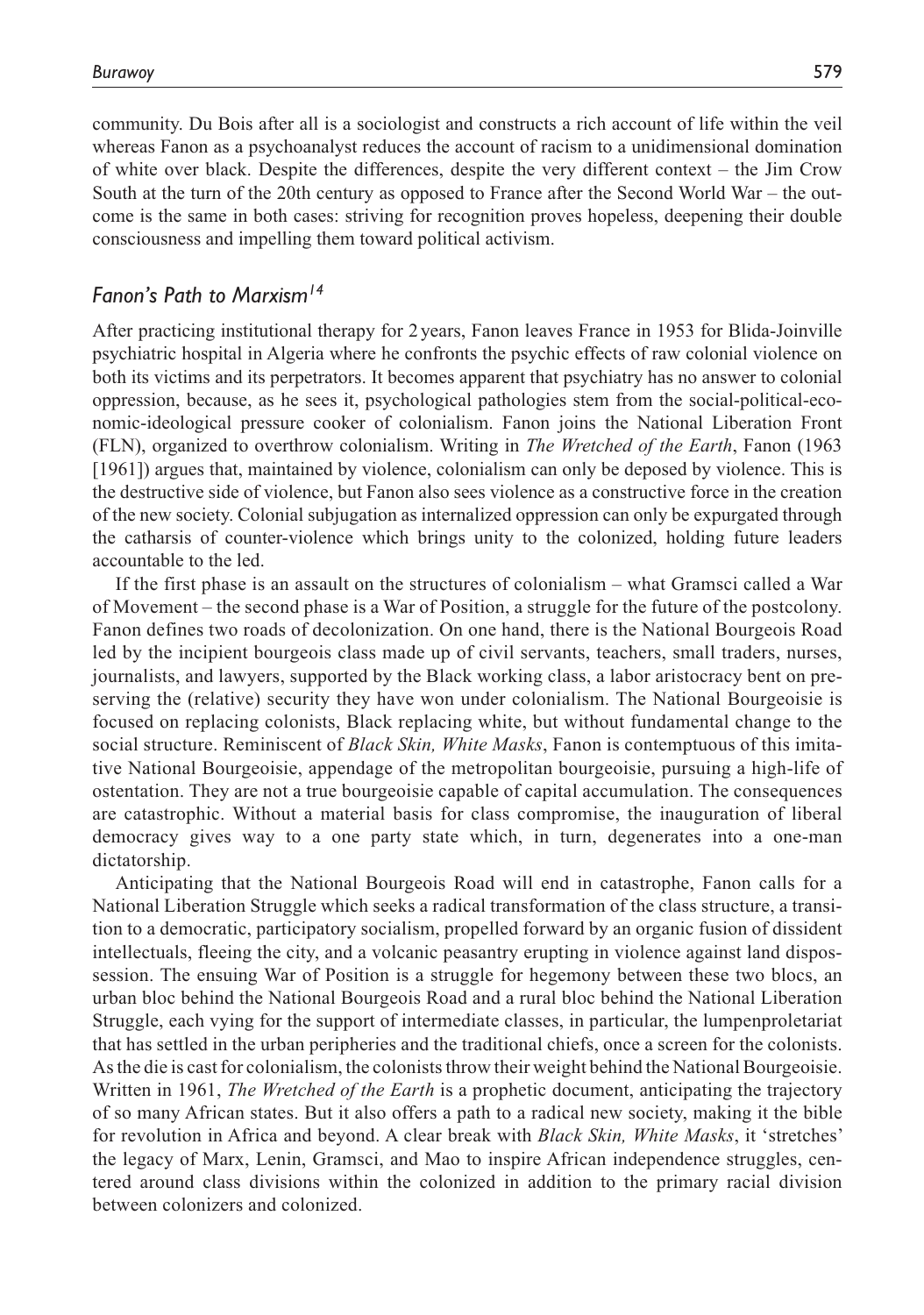community. Du Bois after all is a sociologist and constructs a rich account of life within the veil whereas Fanon as a psychoanalyst reduces the account of racism to a unidimensional domination of white over black. Despite the differences, despite the very different context – the Jim Crow South at the turn of the 20th century as opposed to France after the Second World War – the outcome is the same in both cases: striving for recognition proves hopeless, deepening their double consciousness and impelling them toward political activism.

#### *Fanon's Path to Marxism14*

After practicing institutional therapy for 2 years, Fanon leaves France in 1953 for Blida-Joinville psychiatric hospital in Algeria where he confronts the psychic effects of raw colonial violence on both its victims and its perpetrators. It becomes apparent that psychiatry has no answer to colonial oppression, because, as he sees it, psychological pathologies stem from the social-political-economic-ideological pressure cooker of colonialism. Fanon joins the National Liberation Front (FLN), organized to overthrow colonialism. Writing in *The Wretched of the Earth*, Fanon (1963 [1961]) argues that, maintained by violence, colonialism can only be deposed by violence. This is the destructive side of violence, but Fanon also sees violence as a constructive force in the creation of the new society. Colonial subjugation as internalized oppression can only be expurgated through the catharsis of counter-violence which brings unity to the colonized, holding future leaders accountable to the led.

If the first phase is an assault on the structures of colonialism – what Gramsci called a War of Movement – the second phase is a War of Position, a struggle for the future of the postcolony. Fanon defines two roads of decolonization. On one hand, there is the National Bourgeois Road led by the incipient bourgeois class made up of civil servants, teachers, small traders, nurses, journalists, and lawyers, supported by the Black working class, a labor aristocracy bent on preserving the (relative) security they have won under colonialism. The National Bourgeoisie is focused on replacing colonists, Black replacing white, but without fundamental change to the social structure. Reminiscent of *Black Skin, White Masks*, Fanon is contemptuous of this imitative National Bourgeoisie, appendage of the metropolitan bourgeoisie, pursuing a high-life of ostentation. They are not a true bourgeoisie capable of capital accumulation. The consequences are catastrophic. Without a material basis for class compromise, the inauguration of liberal democracy gives way to a one party state which, in turn, degenerates into a one-man dictatorship.

Anticipating that the National Bourgeois Road will end in catastrophe, Fanon calls for a National Liberation Struggle which seeks a radical transformation of the class structure, a transition to a democratic, participatory socialism, propelled forward by an organic fusion of dissident intellectuals, fleeing the city, and a volcanic peasantry erupting in violence against land dispossession. The ensuing War of Position is a struggle for hegemony between these two blocs, an urban bloc behind the National Bourgeois Road and a rural bloc behind the National Liberation Struggle, each vying for the support of intermediate classes, in particular, the lumpenproletariat that has settled in the urban peripheries and the traditional chiefs, once a screen for the colonists. As the die is cast for colonialism, the colonists throw their weight behind the National Bourgeoisie. Written in 1961, *The Wretched of the Earth* is a prophetic document, anticipating the trajectory of so many African states. But it also offers a path to a radical new society, making it the bible for revolution in Africa and beyond. A clear break with *Black Skin, White Masks*, it 'stretches' the legacy of Marx, Lenin, Gramsci, and Mao to inspire African independence struggles, centered around class divisions within the colonized in addition to the primary racial division between colonizers and colonized.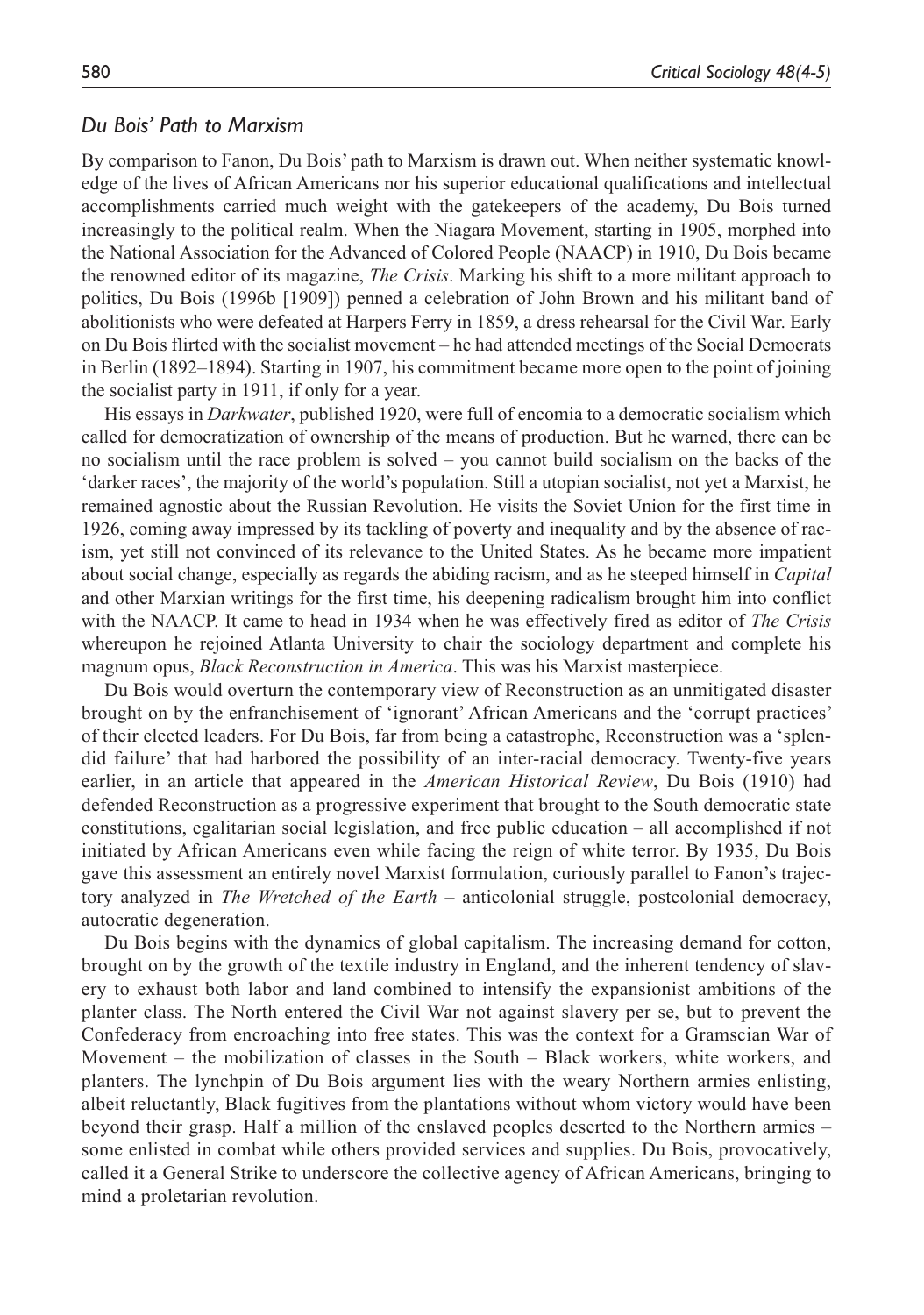#### *Du Bois' Path to Marxism*

By comparison to Fanon, Du Bois' path to Marxism is drawn out. When neither systematic knowledge of the lives of African Americans nor his superior educational qualifications and intellectual accomplishments carried much weight with the gatekeepers of the academy, Du Bois turned increasingly to the political realm. When the Niagara Movement, starting in 1905, morphed into the National Association for the Advanced of Colored People (NAACP) in 1910, Du Bois became the renowned editor of its magazine, *The Crisis*. Marking his shift to a more militant approach to politics, Du Bois (1996b [1909]) penned a celebration of John Brown and his militant band of abolitionists who were defeated at Harpers Ferry in 1859, a dress rehearsal for the Civil War. Early on Du Bois flirted with the socialist movement – he had attended meetings of the Social Democrats in Berlin (1892–1894). Starting in 1907, his commitment became more open to the point of joining the socialist party in 1911, if only for a year.

His essays in *Darkwater*, published 1920, were full of encomia to a democratic socialism which called for democratization of ownership of the means of production. But he warned, there can be no socialism until the race problem is solved – you cannot build socialism on the backs of the 'darker races', the majority of the world's population. Still a utopian socialist, not yet a Marxist, he remained agnostic about the Russian Revolution. He visits the Soviet Union for the first time in 1926, coming away impressed by its tackling of poverty and inequality and by the absence of racism, yet still not convinced of its relevance to the United States. As he became more impatient about social change, especially as regards the abiding racism, and as he steeped himself in *Capital* and other Marxian writings for the first time, his deepening radicalism brought him into conflict with the NAACP. It came to head in 1934 when he was effectively fired as editor of *The Crisis* whereupon he rejoined Atlanta University to chair the sociology department and complete his magnum opus, *Black Reconstruction in America*. This was his Marxist masterpiece.

Du Bois would overturn the contemporary view of Reconstruction as an unmitigated disaster brought on by the enfranchisement of 'ignorant' African Americans and the 'corrupt practices' of their elected leaders. For Du Bois, far from being a catastrophe, Reconstruction was a 'splendid failure' that had harbored the possibility of an inter-racial democracy. Twenty-five years earlier, in an article that appeared in the *American Historical Review*, Du Bois (1910) had defended Reconstruction as a progressive experiment that brought to the South democratic state constitutions, egalitarian social legislation, and free public education – all accomplished if not initiated by African Americans even while facing the reign of white terror. By 1935, Du Bois gave this assessment an entirely novel Marxist formulation, curiously parallel to Fanon's trajectory analyzed in *The Wretched of the Earth* – anticolonial struggle, postcolonial democracy, autocratic degeneration.

Du Bois begins with the dynamics of global capitalism. The increasing demand for cotton, brought on by the growth of the textile industry in England, and the inherent tendency of slavery to exhaust both labor and land combined to intensify the expansionist ambitions of the planter class. The North entered the Civil War not against slavery per se, but to prevent the Confederacy from encroaching into free states. This was the context for a Gramscian War of Movement – the mobilization of classes in the South – Black workers, white workers, and planters. The lynchpin of Du Bois argument lies with the weary Northern armies enlisting, albeit reluctantly, Black fugitives from the plantations without whom victory would have been beyond their grasp. Half a million of the enslaved peoples deserted to the Northern armies – some enlisted in combat while others provided services and supplies. Du Bois, provocatively, called it a General Strike to underscore the collective agency of African Americans, bringing to mind a proletarian revolution.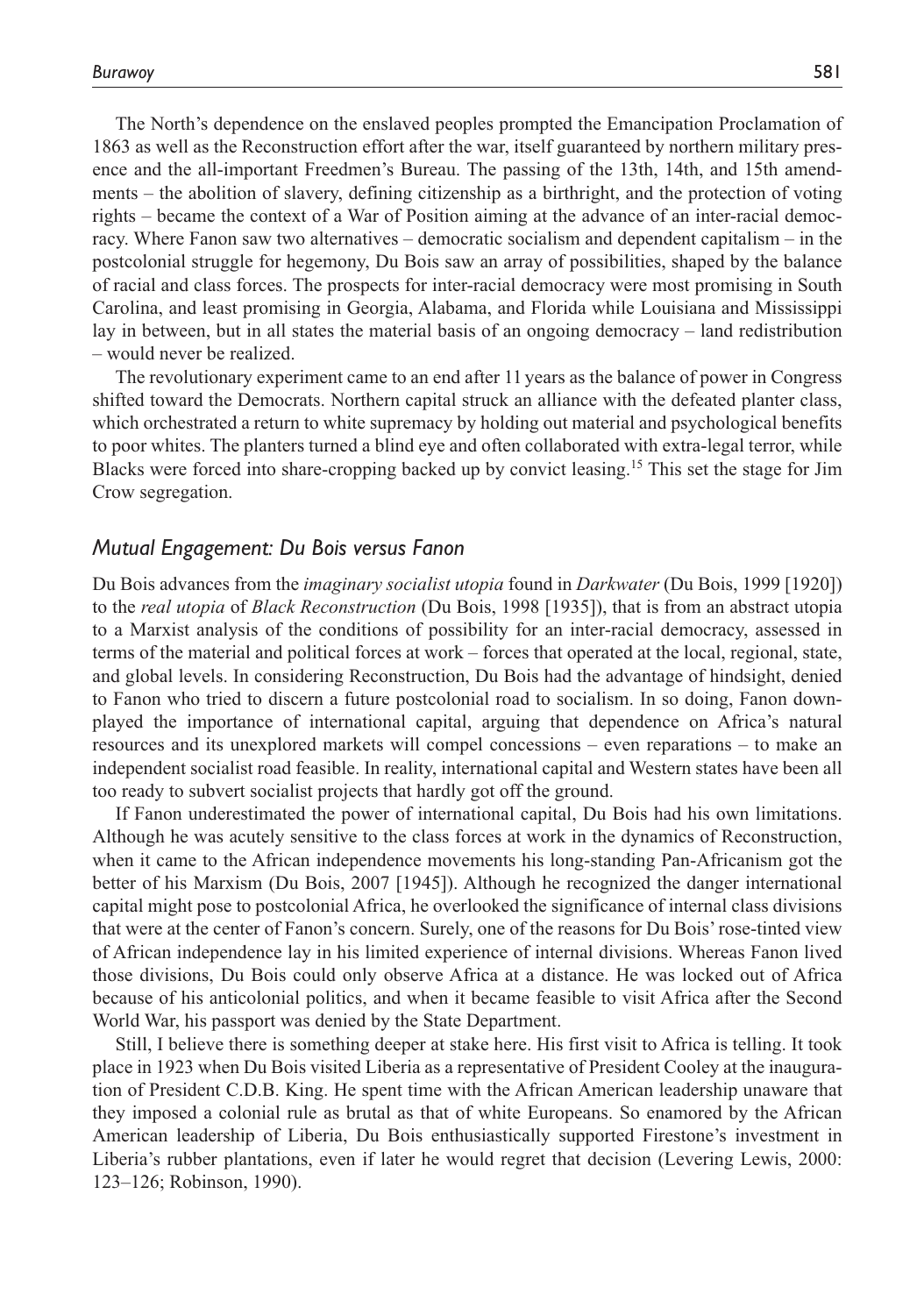The North's dependence on the enslaved peoples prompted the Emancipation Proclamation of 1863 as well as the Reconstruction effort after the war, itself guaranteed by northern military presence and the all-important Freedmen's Bureau. The passing of the 13th, 14th, and 15th amendments – the abolition of slavery, defining citizenship as a birthright, and the protection of voting rights – became the context of a War of Position aiming at the advance of an inter-racial democracy. Where Fanon saw two alternatives – democratic socialism and dependent capitalism – in the postcolonial struggle for hegemony, Du Bois saw an array of possibilities, shaped by the balance of racial and class forces. The prospects for inter-racial democracy were most promising in South Carolina, and least promising in Georgia, Alabama, and Florida while Louisiana and Mississippi lay in between, but in all states the material basis of an ongoing democracy – land redistribution – would never be realized.

The revolutionary experiment came to an end after 11 years as the balance of power in Congress shifted toward the Democrats. Northern capital struck an alliance with the defeated planter class, which orchestrated a return to white supremacy by holding out material and psychological benefits to poor whites. The planters turned a blind eye and often collaborated with extra-legal terror, while Blacks were forced into share-cropping backed up by convict leasing.15 This set the stage for Jim Crow segregation.

#### *Mutual Engagement: Du Bois versus Fanon*

Du Bois advances from the *imaginary socialist utopia* found in *Darkwater* (Du Bois, 1999 [1920]) to the *real utopia* of *Black Reconstruction* (Du Bois, 1998 [1935]), that is from an abstract utopia to a Marxist analysis of the conditions of possibility for an inter-racial democracy, assessed in terms of the material and political forces at work – forces that operated at the local, regional, state, and global levels. In considering Reconstruction, Du Bois had the advantage of hindsight, denied to Fanon who tried to discern a future postcolonial road to socialism. In so doing, Fanon downplayed the importance of international capital, arguing that dependence on Africa's natural resources and its unexplored markets will compel concessions – even reparations – to make an independent socialist road feasible. In reality, international capital and Western states have been all too ready to subvert socialist projects that hardly got off the ground.

If Fanon underestimated the power of international capital, Du Bois had his own limitations. Although he was acutely sensitive to the class forces at work in the dynamics of Reconstruction, when it came to the African independence movements his long-standing Pan-Africanism got the better of his Marxism (Du Bois, 2007 [1945]). Although he recognized the danger international capital might pose to postcolonial Africa, he overlooked the significance of internal class divisions that were at the center of Fanon's concern. Surely, one of the reasons for Du Bois' rose-tinted view of African independence lay in his limited experience of internal divisions. Whereas Fanon lived those divisions, Du Bois could only observe Africa at a distance. He was locked out of Africa because of his anticolonial politics, and when it became feasible to visit Africa after the Second World War, his passport was denied by the State Department.

Still, I believe there is something deeper at stake here. His first visit to Africa is telling. It took place in 1923 when Du Bois visited Liberia as a representative of President Cooley at the inauguration of President C.D.B. King. He spent time with the African American leadership unaware that they imposed a colonial rule as brutal as that of white Europeans. So enamored by the African American leadership of Liberia, Du Bois enthusiastically supported Firestone's investment in Liberia's rubber plantations, even if later he would regret that decision (Levering Lewis, 2000: 123–126; Robinson, 1990).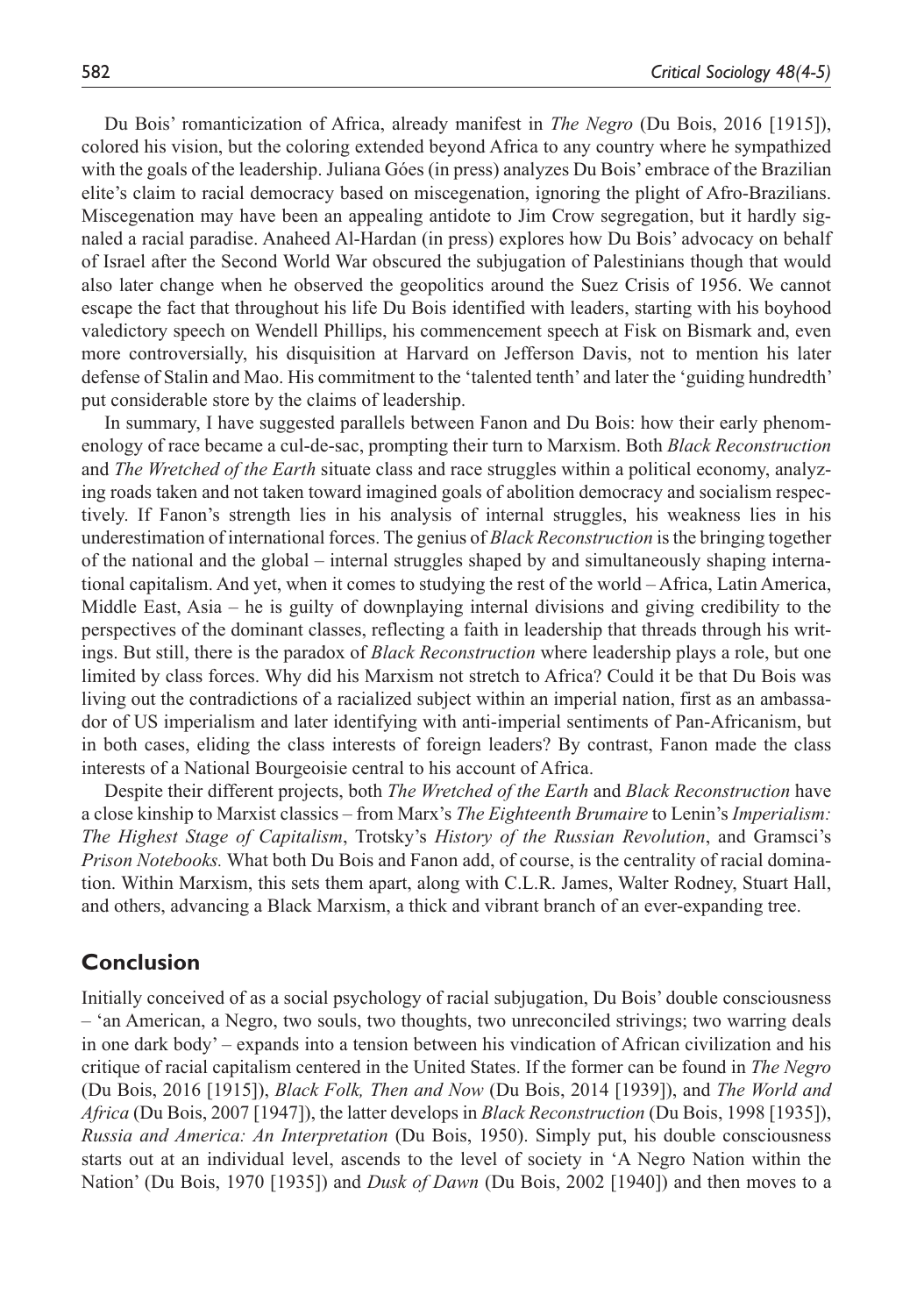Du Bois' romanticization of Africa, already manifest in *The Negro* (Du Bois, 2016 [1915]), colored his vision, but the coloring extended beyond Africa to any country where he sympathized with the goals of the leadership. Juliana Góes (in press) analyzes Du Bois' embrace of the Brazilian elite's claim to racial democracy based on miscegenation, ignoring the plight of Afro-Brazilians. Miscegenation may have been an appealing antidote to Jim Crow segregation, but it hardly signaled a racial paradise. Anaheed Al-Hardan (in press) explores how Du Bois' advocacy on behalf of Israel after the Second World War obscured the subjugation of Palestinians though that would also later change when he observed the geopolitics around the Suez Crisis of 1956. We cannot escape the fact that throughout his life Du Bois identified with leaders, starting with his boyhood valedictory speech on Wendell Phillips, his commencement speech at Fisk on Bismark and, even more controversially, his disquisition at Harvard on Jefferson Davis, not to mention his later defense of Stalin and Mao. His commitment to the 'talented tenth' and later the 'guiding hundredth' put considerable store by the claims of leadership.

In summary, I have suggested parallels between Fanon and Du Bois: how their early phenomenology of race became a cul-de-sac, prompting their turn to Marxism. Both *Black Reconstruction* and *The Wretched of the Earth* situate class and race struggles within a political economy, analyzing roads taken and not taken toward imagined goals of abolition democracy and socialism respectively. If Fanon's strength lies in his analysis of internal struggles, his weakness lies in his underestimation of international forces. The genius of *Black Reconstruction* is the bringing together of the national and the global – internal struggles shaped by and simultaneously shaping international capitalism. And yet, when it comes to studying the rest of the world – Africa, Latin America, Middle East, Asia – he is guilty of downplaying internal divisions and giving credibility to the perspectives of the dominant classes, reflecting a faith in leadership that threads through his writings. But still, there is the paradox of *Black Reconstruction* where leadership plays a role, but one limited by class forces. Why did his Marxism not stretch to Africa? Could it be that Du Bois was living out the contradictions of a racialized subject within an imperial nation, first as an ambassador of US imperialism and later identifying with anti-imperial sentiments of Pan-Africanism, but in both cases, eliding the class interests of foreign leaders? By contrast, Fanon made the class interests of a National Bourgeoisie central to his account of Africa.

Despite their different projects, both *The Wretched of the Earth* and *Black Reconstruction* have a close kinship to Marxist classics – from Marx's *The Eighteenth Brumaire* to Lenin's *Imperialism: The Highest Stage of Capitalism*, Trotsky's *History of the Russian Revolution*, and Gramsci's *Prison Notebooks.* What both Du Bois and Fanon add, of course, is the centrality of racial domination. Within Marxism, this sets them apart, along with C.L.R. James, Walter Rodney, Stuart Hall, and others, advancing a Black Marxism, a thick and vibrant branch of an ever-expanding tree.

# **Conclusion**

Initially conceived of as a social psychology of racial subjugation, Du Bois' double consciousness – 'an American, a Negro, two souls, two thoughts, two unreconciled strivings; two warring deals in one dark body' – expands into a tension between his vindication of African civilization and his critique of racial capitalism centered in the United States. If the former can be found in *The Negro* (Du Bois, 2016 [1915]), *Black Folk, Then and Now* (Du Bois, 2014 [1939]), and *The World and Africa* (Du Bois, 2007 [1947]), the latter develops in *Black Reconstruction* (Du Bois, 1998 [1935]), *Russia and America: An Interpretation* (Du Bois, 1950). Simply put, his double consciousness starts out at an individual level, ascends to the level of society in 'A Negro Nation within the Nation' (Du Bois, 1970 [1935]) and *Dusk of Dawn* (Du Bois, 2002 [1940]) and then moves to a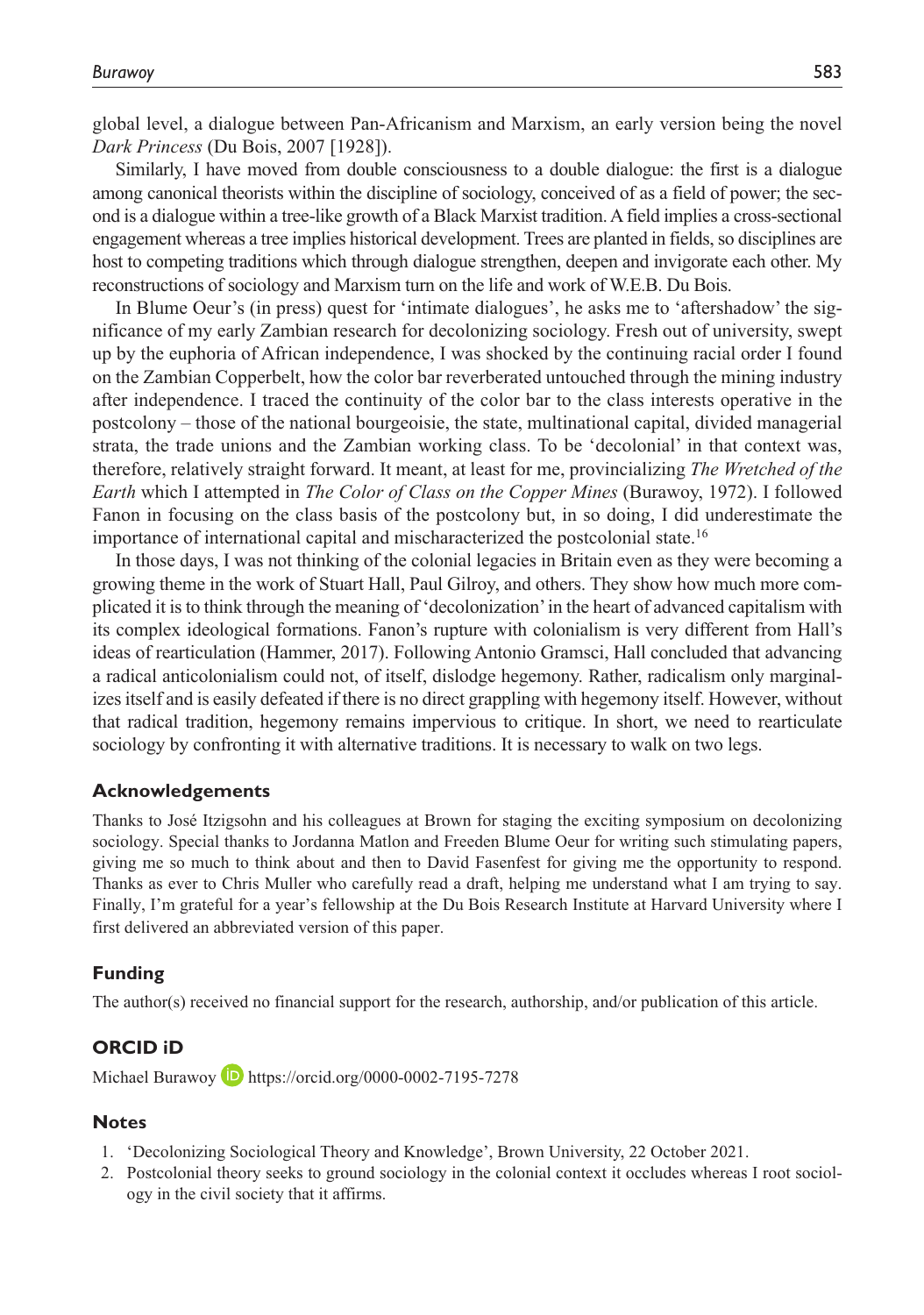global level, a dialogue between Pan-Africanism and Marxism, an early version being the novel *Dark Princess* (Du Bois, 2007 [1928]).

Similarly, I have moved from double consciousness to a double dialogue: the first is a dialogue among canonical theorists within the discipline of sociology, conceived of as a field of power; the second is a dialogue within a tree-like growth of a Black Marxist tradition. A field implies a cross-sectional engagement whereas a tree implies historical development. Trees are planted in fields, so disciplines are host to competing traditions which through dialogue strengthen, deepen and invigorate each other. My reconstructions of sociology and Marxism turn on the life and work of W.E.B. Du Bois.

In Blume Oeur's (in press) quest for 'intimate dialogues', he asks me to 'aftershadow' the significance of my early Zambian research for decolonizing sociology. Fresh out of university, swept up by the euphoria of African independence, I was shocked by the continuing racial order I found on the Zambian Copperbelt, how the color bar reverberated untouched through the mining industry after independence. I traced the continuity of the color bar to the class interests operative in the postcolony – those of the national bourgeoisie, the state, multinational capital, divided managerial strata, the trade unions and the Zambian working class. To be 'decolonial' in that context was, therefore, relatively straight forward. It meant, at least for me, provincializing *The Wretched of the Earth* which I attempted in *The Color of Class on the Copper Mines* (Burawoy, 1972). I followed Fanon in focusing on the class basis of the postcolony but, in so doing, I did underestimate the importance of international capital and mischaracterized the postcolonial state.16

In those days, I was not thinking of the colonial legacies in Britain even as they were becoming a growing theme in the work of Stuart Hall, Paul Gilroy, and others. They show how much more complicated it is to think through the meaning of 'decolonization' in the heart of advanced capitalism with its complex ideological formations. Fanon's rupture with colonialism is very different from Hall's ideas of rearticulation (Hammer, 2017). Following Antonio Gramsci, Hall concluded that advancing a radical anticolonialism could not, of itself, dislodge hegemony. Rather, radicalism only marginalizes itself and is easily defeated if there is no direct grappling with hegemony itself. However, without that radical tradition, hegemony remains impervious to critique. In short, we need to rearticulate sociology by confronting it with alternative traditions. It is necessary to walk on two legs.

#### **Acknowledgements**

Thanks to José Itzigsohn and his colleagues at Brown for staging the exciting symposium on decolonizing sociology. Special thanks to Jordanna Matlon and Freeden Blume Oeur for writing such stimulating papers, giving me so much to think about and then to David Fasenfest for giving me the opportunity to respond. Thanks as ever to Chris Muller who carefully read a draft, helping me understand what I am trying to say. Finally, I'm grateful for a year's fellowship at the Du Bois Research Institute at Harvard University where I first delivered an abbreviated version of this paper.

#### **Funding**

The author(s) received no financial support for the research, authorship, and/or publication of this article.

#### **ORCID iD**

Michael Burawoy **D** <https://orcid.org/0000-0002-7195-7278>

#### **Notes**

- 1. 'Decolonizing Sociological Theory and Knowledge', Brown University, 22 October 2021.
- 2. Postcolonial theory seeks to ground sociology in the colonial context it occludes whereas I root sociology in the civil society that it affirms.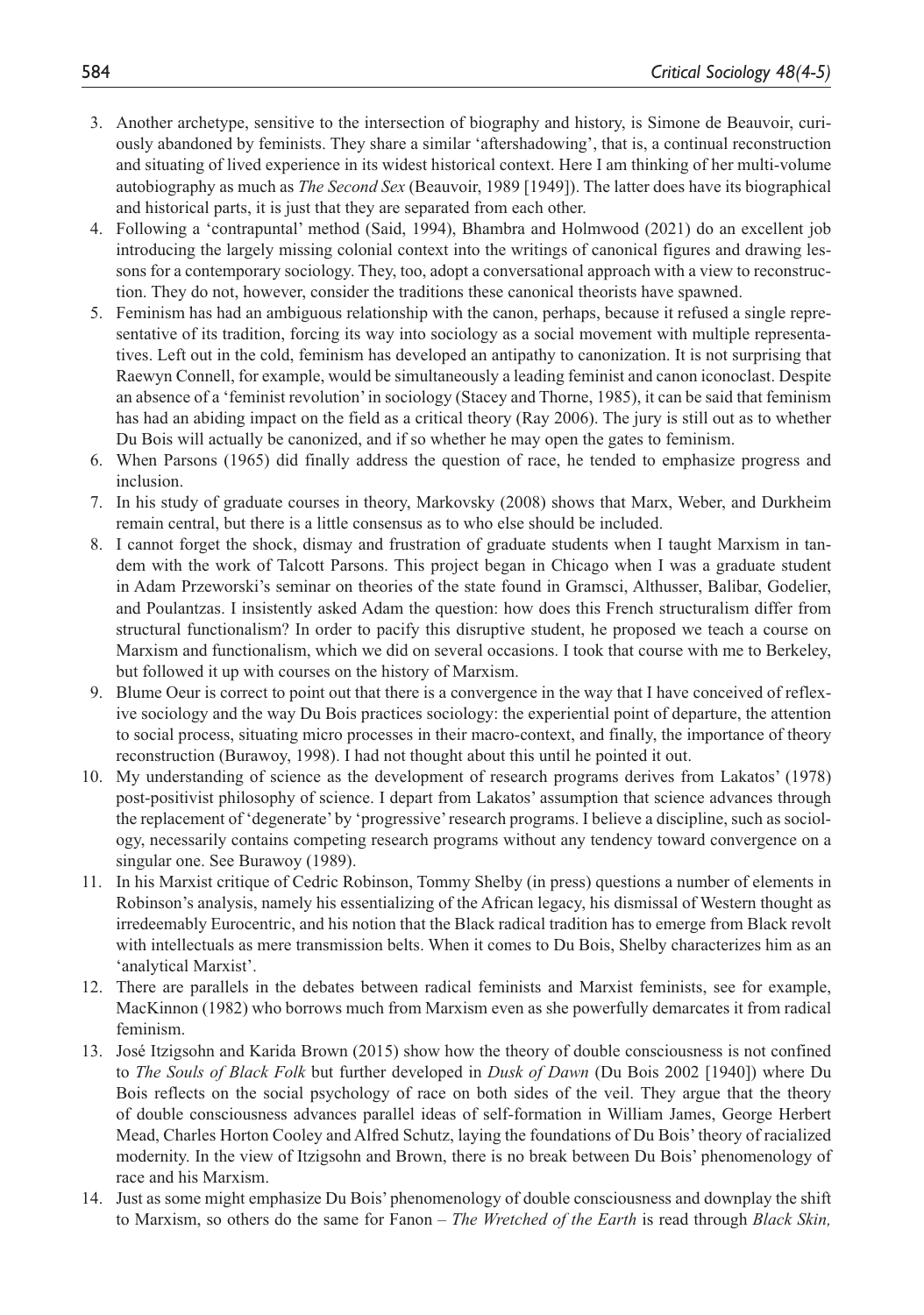- 3. Another archetype, sensitive to the intersection of biography and history, is Simone de Beauvoir, curiously abandoned by feminists. They share a similar 'aftershadowing', that is, a continual reconstruction and situating of lived experience in its widest historical context. Here I am thinking of her multi-volume autobiography as much as *The Second Sex* (Beauvoir, 1989 [1949]). The latter does have its biographical and historical parts, it is just that they are separated from each other.
- 4. Following a 'contrapuntal' method (Said, 1994), Bhambra and Holmwood (2021) do an excellent job introducing the largely missing colonial context into the writings of canonical figures and drawing lessons for a contemporary sociology. They, too, adopt a conversational approach with a view to reconstruction. They do not, however, consider the traditions these canonical theorists have spawned.
- 5. Feminism has had an ambiguous relationship with the canon, perhaps, because it refused a single representative of its tradition, forcing its way into sociology as a social movement with multiple representatives. Left out in the cold, feminism has developed an antipathy to canonization. It is not surprising that Raewyn Connell, for example, would be simultaneously a leading feminist and canon iconoclast. Despite an absence of a 'feminist revolution' in sociology (Stacey and Thorne, 1985), it can be said that feminism has had an abiding impact on the field as a critical theory (Ray 2006). The jury is still out as to whether Du Bois will actually be canonized, and if so whether he may open the gates to feminism.
- 6. When Parsons (1965) did finally address the question of race, he tended to emphasize progress and inclusion.
- 7. In his study of graduate courses in theory, Markovsky (2008) shows that Marx, Weber, and Durkheim remain central, but there is a little consensus as to who else should be included.
- 8. I cannot forget the shock, dismay and frustration of graduate students when I taught Marxism in tandem with the work of Talcott Parsons. This project began in Chicago when I was a graduate student in Adam Przeworski's seminar on theories of the state found in Gramsci, Althusser, Balibar, Godelier, and Poulantzas. I insistently asked Adam the question: how does this French structuralism differ from structural functionalism? In order to pacify this disruptive student, he proposed we teach a course on Marxism and functionalism, which we did on several occasions. I took that course with me to Berkeley, but followed it up with courses on the history of Marxism.
- 9. Blume Oeur is correct to point out that there is a convergence in the way that I have conceived of reflexive sociology and the way Du Bois practices sociology: the experiential point of departure, the attention to social process, situating micro processes in their macro-context, and finally, the importance of theory reconstruction (Burawoy, 1998). I had not thought about this until he pointed it out.
- 10. My understanding of science as the development of research programs derives from Lakatos' (1978) post-positivist philosophy of science. I depart from Lakatos' assumption that science advances through the replacement of 'degenerate' by 'progressive' research programs. I believe a discipline, such as sociology, necessarily contains competing research programs without any tendency toward convergence on a singular one. See Burawoy (1989).
- 11. In his Marxist critique of Cedric Robinson, Tommy Shelby (in press) questions a number of elements in Robinson's analysis, namely his essentializing of the African legacy, his dismissal of Western thought as irredeemably Eurocentric, and his notion that the Black radical tradition has to emerge from Black revolt with intellectuals as mere transmission belts. When it comes to Du Bois, Shelby characterizes him as an 'analytical Marxist'.
- 12. There are parallels in the debates between radical feminists and Marxist feminists, see for example, MacKinnon (1982) who borrows much from Marxism even as she powerfully demarcates it from radical feminism.
- 13. José Itzigsohn and Karida Brown (2015) show how the theory of double consciousness is not confined to *The Souls of Black Folk* but further developed in *Dusk of Dawn* (Du Bois 2002 [1940]) where Du Bois reflects on the social psychology of race on both sides of the veil. They argue that the theory of double consciousness advances parallel ideas of self-formation in William James, George Herbert Mead, Charles Horton Cooley and Alfred Schutz, laying the foundations of Du Bois' theory of racialized modernity. In the view of Itzigsohn and Brown, there is no break between Du Bois' phenomenology of race and his Marxism.
- 14. Just as some might emphasize Du Bois' phenomenology of double consciousness and downplay the shift to Marxism, so others do the same for Fanon – *The Wretched of the Earth* is read through *Black Skin,*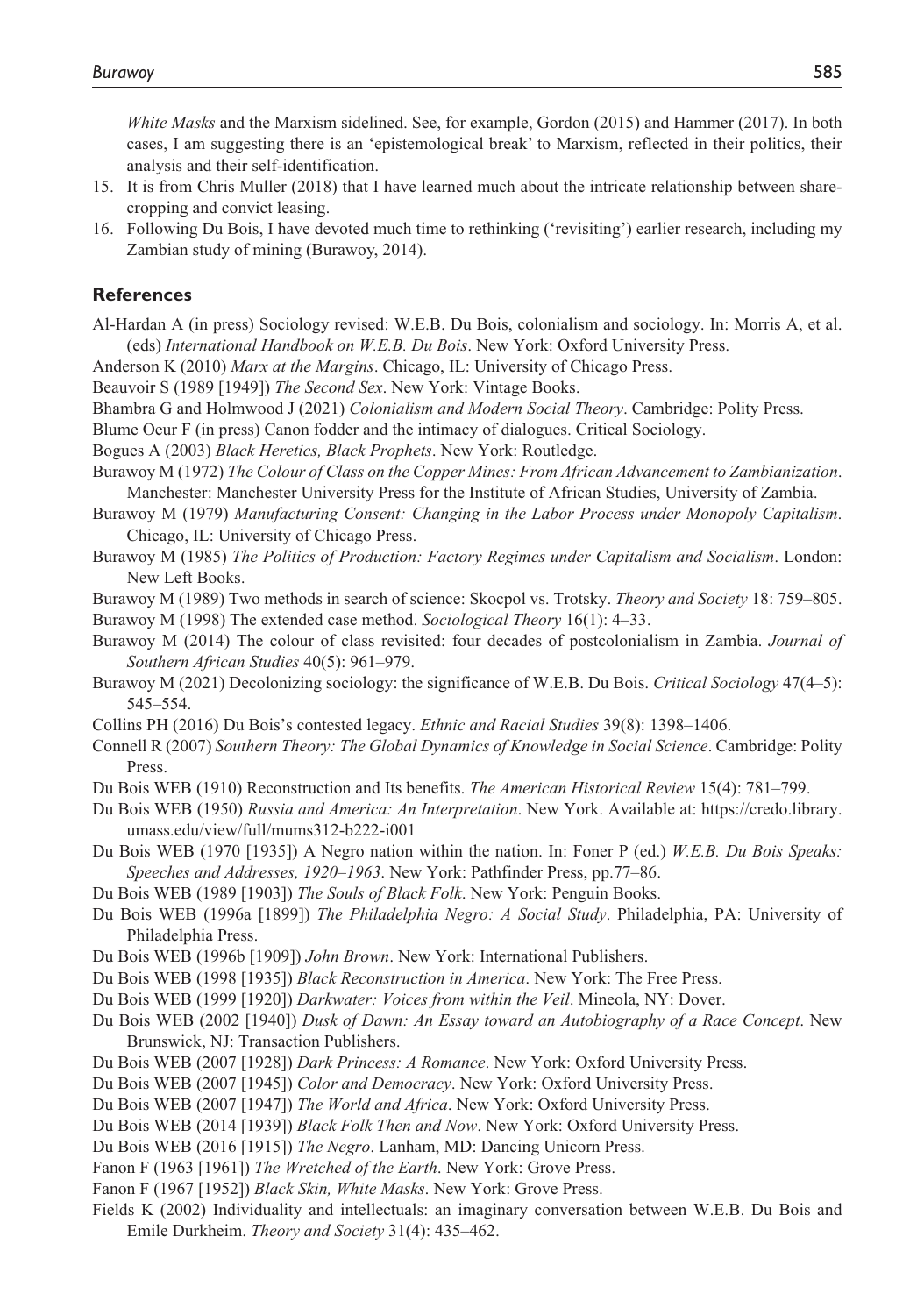*White Masks* and the Marxism sidelined. See, for example, Gordon (2015) and Hammer (2017). In both cases, I am suggesting there is an 'epistemological break' to Marxism, reflected in their politics, their analysis and their self-identification.

- 15. It is from Chris Muller (2018) that I have learned much about the intricate relationship between sharecropping and convict leasing.
- 16. Following Du Bois, I have devoted much time to rethinking ('revisiting') earlier research, including my Zambian study of mining (Burawoy, 2014).

#### **References**

- Al-Hardan A (in press) Sociology revised: W.E.B. Du Bois, colonialism and sociology. In: Morris A, et al. (eds) *International Handbook on W.E.B. Du Bois*. New York: Oxford University Press.
- Anderson K (2010) *Marx at the Margins*. Chicago, IL: University of Chicago Press.

Beauvoir S (1989 [1949]) *The Second Sex*. New York: Vintage Books.

Bhambra G and Holmwood J (2021) *Colonialism and Modern Social Theory*. Cambridge: Polity Press.

Blume Oeur F (in press) Canon fodder and the intimacy of dialogues. Critical Sociology.

Bogues A (2003) *Black Heretics, Black Prophets*. New York: Routledge.

Burawoy M (1972) *The Colour of Class on the Copper Mines: From African Advancement to Zambianization*. Manchester: Manchester University Press for the Institute of African Studies, University of Zambia.

- Burawoy M (1979) *Manufacturing Consent: Changing in the Labor Process under Monopoly Capitalism*. Chicago, IL: University of Chicago Press.
- Burawoy M (1985) *The Politics of Production: Factory Regimes under Capitalism and Socialism*. London: New Left Books.
- Burawoy M (1989) Two methods in search of science: Skocpol vs. Trotsky. *Theory and Society* 18: 759–805.

Burawoy M (1998) The extended case method. *Sociological Theory* 16(1): 4–33.

- Burawoy M (2014) The colour of class revisited: four decades of postcolonialism in Zambia. *Journal of Southern African Studies* 40(5): 961–979.
- Burawoy M (2021) Decolonizing sociology: the significance of W.E.B. Du Bois. *Critical Sociology* 47(4–5): 545–554.
- Collins PH (2016) Du Bois's contested legacy. *Ethnic and Racial Studies* 39(8): 1398–1406.
- Connell R (2007) *Southern Theory: The Global Dynamics of Knowledge in Social Science*. Cambridge: Polity Press.
- Du Bois WEB (1910) Reconstruction and Its benefits. *The American Historical Review* 15(4): 781–799.
- Du Bois WEB (1950) *Russia and America: An Interpretation*. New York. Available at: [https://credo.library.](https://credo.library.umass.edu/view/full/mums312-b222-i001) [umass.edu/view/full/mums312-b222-i001](https://credo.library.umass.edu/view/full/mums312-b222-i001)
- Du Bois WEB (1970 [1935]) A Negro nation within the nation. In: Foner P (ed.) *W.E.B. Du Bois Speaks: Speeches and Addresses, 1920–1963*. New York: Pathfinder Press, pp.77–86.

Du Bois WEB (1989 [1903]) *The Souls of Black Folk*. New York: Penguin Books.

- Du Bois WEB (1996a [1899]) *The Philadelphia Negro: A Social Study*. Philadelphia, PA: University of Philadelphia Press.
- Du Bois WEB (1996b [1909]) *John Brown*. New York: International Publishers.
- Du Bois WEB (1998 [1935]) *Black Reconstruction in America*. New York: The Free Press.
- Du Bois WEB (1999 [1920]) *Darkwater: Voices from within the Veil*. Mineola, NY: Dover.
- Du Bois WEB (2002 [1940]) *Dusk of Dawn: An Essay toward an Autobiography of a Race Concept*. New Brunswick, NJ: Transaction Publishers.
- Du Bois WEB (2007 [1928]) *Dark Princess: A Romance*. New York: Oxford University Press.
- Du Bois WEB (2007 [1945]) *Color and Democracy*. New York: Oxford University Press.
- Du Bois WEB (2007 [1947]) *The World and Africa*. New York: Oxford University Press.
- Du Bois WEB (2014 [1939]) *Black Folk Then and Now*. New York: Oxford University Press.
- Du Bois WEB (2016 [1915]) *The Negro*. Lanham, MD: Dancing Unicorn Press.
- Fanon F (1963 [1961]) *The Wretched of the Earth*. New York: Grove Press.
- Fanon F (1967 [1952]) *Black Skin, White Masks*. New York: Grove Press.
- Fields K (2002) Individuality and intellectuals: an imaginary conversation between W.E.B. Du Bois and Emile Durkheim. *Theory and Society* 31(4): 435–462.